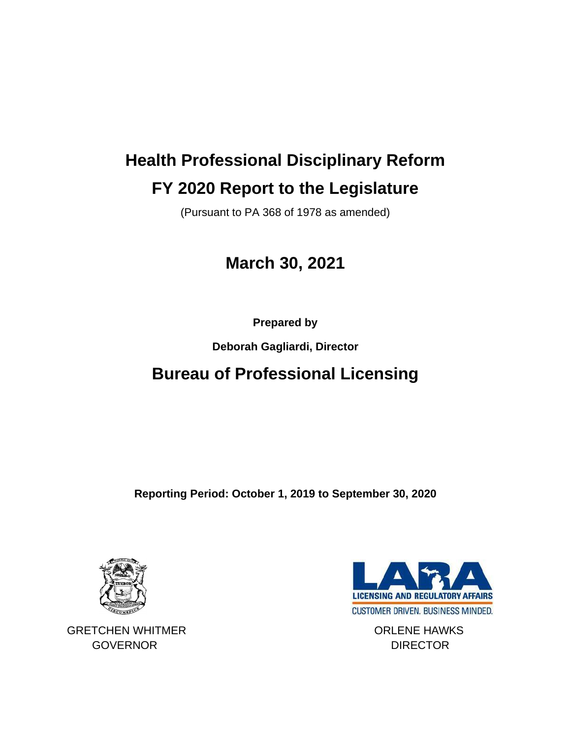## **Health Professional Disciplinary Reform FY 2020 Report to the Legislature**

(Pursuant to PA 368 of 1978 as amended)

### **March 30, 2021**

**Prepared by**

**Deborah Gagliardi, Director**

## **Bureau of Professional Licensing**

**Reporting Period: October 1, 2019 to September 30, 2020**



GRETCHEN WHITMER **CONSERVERT CONSERVERT CONSERVATION** GOVERNOR DIRECTOR

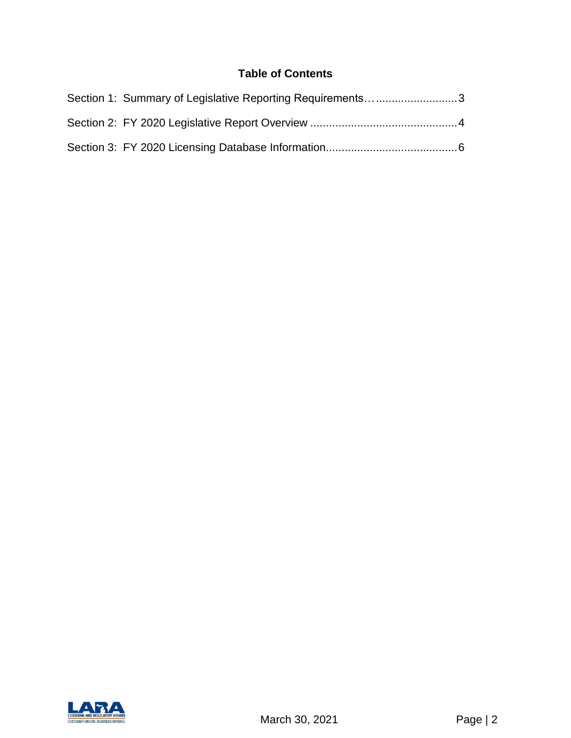#### **Table of Contents**

| Section 1: Summary of Legislative Reporting Requirements3 |
|-----------------------------------------------------------|
|                                                           |
|                                                           |

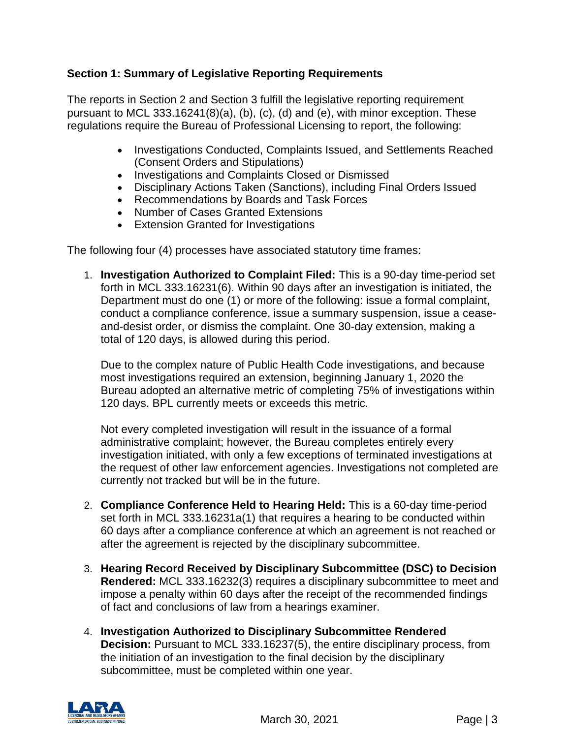#### <span id="page-2-0"></span>**Section 1: Summary of Legislative Reporting Requirements**

The reports in Section 2 and Section 3 fulfill the legislative reporting requirement pursuant to MCL 333.16241(8)(a), (b), (c), (d) and (e), with minor exception. These regulations require the Bureau of Professional Licensing to report, the following:

- Investigations Conducted, Complaints Issued, and Settlements Reached (Consent Orders and Stipulations)
- Investigations and Complaints Closed or Dismissed
- Disciplinary Actions Taken (Sanctions), including Final Orders Issued
- Recommendations by Boards and Task Forces
- Number of Cases Granted Extensions
- Extension Granted for Investigations

The following four (4) processes have associated statutory time frames:

1. **Investigation Authorized to Complaint Filed:** This is a 90-day time-period set forth in MCL 333.16231(6). Within 90 days after an investigation is initiated, the Department must do one (1) or more of the following: issue a formal complaint, conduct a compliance conference, issue a summary suspension, issue a ceaseand-desist order, or dismiss the complaint. One 30-day extension, making a total of 120 days, is allowed during this period.

Due to the complex nature of Public Health Code investigations, and because most investigations required an extension, beginning January 1, 2020 the Bureau adopted an alternative metric of completing 75% of investigations within 120 days. BPL currently meets or exceeds this metric.

Not every completed investigation will result in the issuance of a formal administrative complaint; however, the Bureau completes entirely every investigation initiated, with only a few exceptions of terminated investigations at the request of other law enforcement agencies. Investigations not completed are currently not tracked but will be in the future.

- 2. **Compliance Conference Held to Hearing Held:** This is a 60-day time-period set forth in MCL 333.16231a(1) that requires a hearing to be conducted within 60 days after a compliance conference at which an agreement is not reached or after the agreement is rejected by the disciplinary subcommittee.
- 3. **Hearing Record Received by Disciplinary Subcommittee (DSC) to Decision Rendered:** MCL 333.16232(3) requires a disciplinary subcommittee to meet and impose a penalty within 60 days after the receipt of the recommended findings of fact and conclusions of law from a hearings examiner.
- 4. **Investigation Authorized to Disciplinary Subcommittee Rendered Decision:** Pursuant to MCL 333.16237(5), the entire disciplinary process, from the initiation of an investigation to the final decision by the disciplinary subcommittee, must be completed within one year.

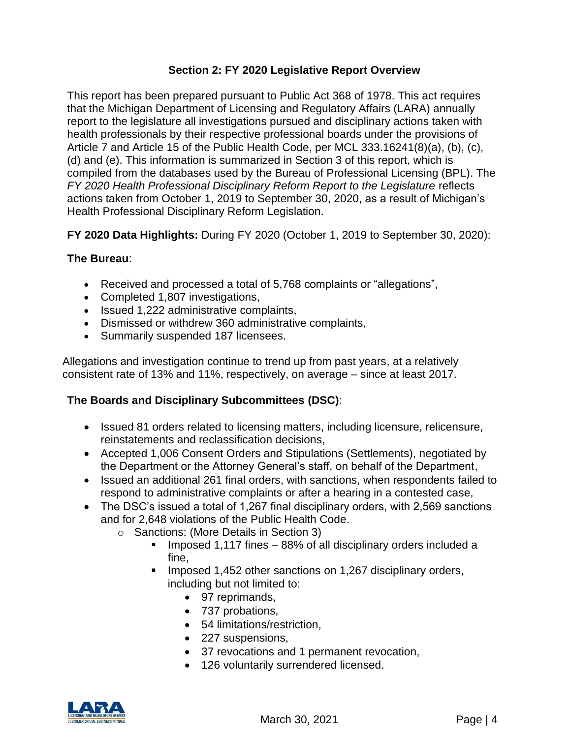#### **Section 2: FY 2020 Legislative Report Overview**

<span id="page-3-0"></span>This report has been prepared pursuant to Public Act 368 of 1978. This act requires that the Michigan Department of Licensing and Regulatory Affairs (LARA) annually report to the legislature all investigations pursued and disciplinary actions taken with health professionals by their respective professional boards under the provisions of Article 7 and Article 15 of the Public Health Code, per MCL 333.16241(8)(a), (b), (c), (d) and (e). This information is summarized in Section 3 of this report, which is compiled from the databases used by the Bureau of Professional Licensing (BPL). The *FY 2020 Health Professional Disciplinary Reform Report to the Legislature* reflects actions taken from October 1, 2019 to September 30, 2020, as a result of Michigan's Health Professional Disciplinary Reform Legislation.

**FY 2020 Data Highlights:** During FY 2020 (October 1, 2019 to September 30, 2020):

#### **The Bureau**:

- Received and processed a total of 5,768 complaints or "allegations",
- Completed 1,807 investigations,
- Issued 1,222 administrative complaints,
- Dismissed or withdrew 360 administrative complaints,
- Summarily suspended 187 licensees.

Allegations and investigation continue to trend up from past years, at a relatively consistent rate of 13% and 11%, respectively, on average – since at least 2017.

#### **The Boards and Disciplinary Subcommittees (DSC)**:

- Issued 81 orders related to licensing matters, including licensure, relicensure, reinstatements and reclassification decisions,
- Accepted 1,006 Consent Orders and Stipulations (Settlements), negotiated by the Department or the Attorney General's staff, on behalf of the Department,
- Issued an additional 261 final orders, with sanctions, when respondents failed to respond to administrative complaints or after a hearing in a contested case,
- The DSC's issued a total of 1,267 final disciplinary orders, with 2,569 sanctions and for 2,648 violations of the Public Health Code.
	- o Sanctions: (More Details in Section 3)
		- Imposed 1,117 fines 88% of all disciplinary orders included a fine,
		- Imposed 1,452 other sanctions on 1,267 disciplinary orders, including but not limited to:
			- 97 reprimands,
			- 737 probations,
			- 54 limitations/restriction,
			- 227 suspensions,
			- 37 revocations and 1 permanent revocation,
			- 126 voluntarily surrendered licensed.

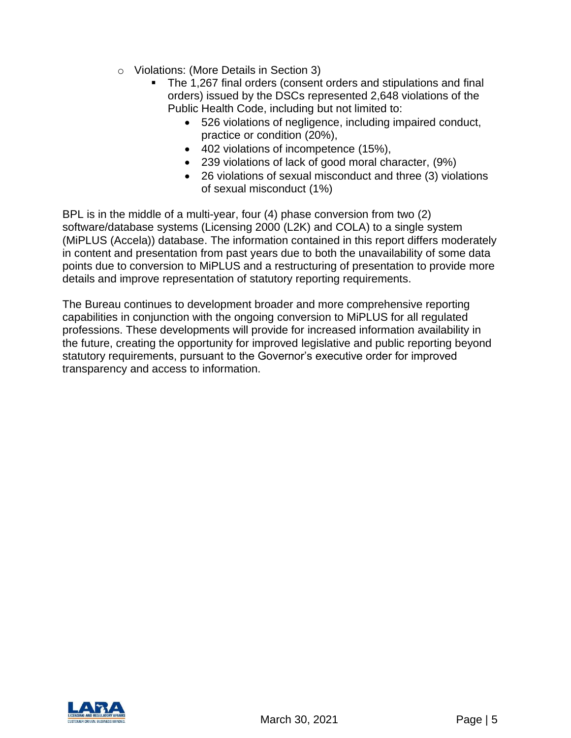- o Violations: (More Details in Section 3)
	- The 1,267 final orders (consent orders and stipulations and final orders) issued by the DSCs represented 2,648 violations of the Public Health Code, including but not limited to:
		- 526 violations of negligence, including impaired conduct, practice or condition (20%),
		- 402 violations of incompetence (15%),
		- 239 violations of lack of good moral character, (9%)
		- 26 violations of sexual misconduct and three (3) violations of sexual misconduct (1%)

BPL is in the middle of a multi-year, four (4) phase conversion from two (2) software/database systems (Licensing 2000 (L2K) and COLA) to a single system (MiPLUS (Accela)) database. The information contained in this report differs moderately in content and presentation from past years due to both the unavailability of some data points due to conversion to MiPLUS and a restructuring of presentation to provide more details and improve representation of statutory reporting requirements.

<span id="page-4-0"></span>The Bureau continues to development broader and more comprehensive reporting capabilities in conjunction with the ongoing conversion to MiPLUS for all regulated professions. These developments will provide for increased information availability in the future, creating the opportunity for improved legislative and public reporting beyond statutory requirements, pursuant to the Governor's executive order for improved transparency and access to information.